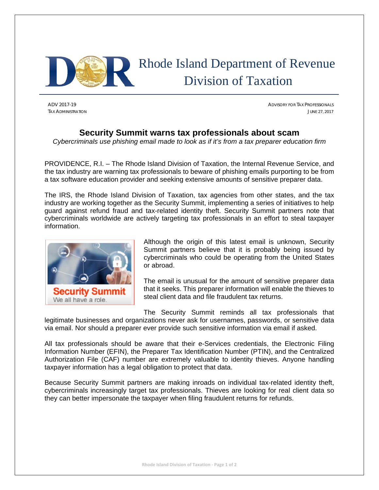

## Rhode Island Department of Revenue Division of Taxation

ADV 2017-19 ADVISORY FOR TAX PROFESSIONALS TAX ADMINISTRATION **JUNE 27, 2017** 

## **Security Summit warns tax professionals about scam**

*Cybercriminals use phishing email made to look as if it's from a tax preparer education firm* 

PROVIDENCE, R.I. – The Rhode Island Division of Taxation, the Internal Revenue Service, and the tax industry are warning tax professionals to beware of phishing emails purporting to be from a tax software education provider and seeking extensive amounts of sensitive preparer data.

The IRS, the Rhode Island Division of Taxation, tax agencies from other states, and the tax industry are working together as the Security Summit, implementing a series of initiatives to help guard against refund fraud and tax-related identity theft. Security Summit partners note that cybercriminals worldwide are actively targeting tax professionals in an effort to steal taxpayer information.



Although the origin of this latest email is unknown, Security Summit partners believe that it is probably being issued by cybercriminals who could be operating from the United States or abroad.

The email is unusual for the amount of sensitive preparer data that it seeks. This preparer information will enable the thieves to steal client data and file fraudulent tax returns.

The Security Summit reminds all tax professionals that

legitimate businesses and organizations never ask for usernames, passwords, or sensitive data via email. Nor should a preparer ever provide such sensitive information via email if asked.

All tax professionals should be aware that their e-Services credentials, the Electronic Filing Information Number (EFIN), the Preparer Tax Identification Number (PTIN), and the Centralized Authorization File (CAF) number are extremely valuable to identity thieves. Anyone handling taxpayer information has a legal obligation to protect that data.

Because Security Summit partners are making inroads on individual tax-related identity theft, cybercriminals increasingly target tax professionals. Thieves are looking for real client data so they can better impersonate the taxpayer when filing fraudulent returns for refunds.